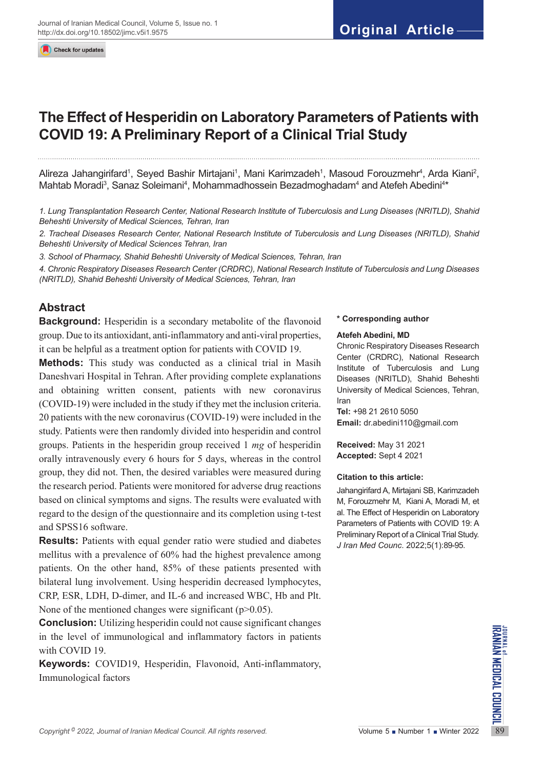Check for updates

# **The Effect of Hesperidin on Laboratory Parameters of Patients with COVID 19: A Preliminary Report of a Clinical Trial Study**

Alireza Jahangirifard<sup>1</sup>, Seyed Bashir Mirtajani<sup>1</sup>, Mani Karimzadeh<sup>1</sup>, Masoud Forouzmehr<sup>4</sup>, Arda Kiani<sup>2</sup>, Mahtab Moradi<sup>3</sup>, Sanaz Soleimani<sup>4</sup>, Mohammadhossein Bezadmoghadam<sup>4</sup> and Atefeh Abedini<sup>4\*</sup>

*1. Lung Transplantation Research Center, National Research Institute of Tuberculosis and Lung Diseases (NRITLD), Shahid Beheshti University of Medical Sciences, Tehran, Iran*

*2. Tracheal Diseases Research Center, National Research Institute of Tuberculosis and Lung Diseases (NRITLD), Shahid Beheshti University of Medical Sciences Tehran, Iran*

*3. School of Pharmacy, Shahid Beheshti University of Medical Sciences, Tehran, Iran*

*4. Chronic Respiratory Diseases Research Center (CRDRC), National Research Institute of Tuberculosis and Lung Diseases (NRITLD), Shahid Beheshti University of Medical Sciences, Tehran, Iran*

# **Abstract**

**Background:** Hesperidin is a secondary metabolite of the flavonoid group. Due to its antioxidant, anti-inflammatory and anti-viral properties, it can be helpful as a treatment option for patients with COVID 19.

**Methods:** This study was conducted as a clinical trial in Masih Daneshvari Hospital in Tehran. After providing complete explanations and obtaining written consent, patients with new coronavirus (COVID-19) were included in the study if they met the inclusion criteria. 20 patients with the new coronavirus (COVID-19) were included in the study. Patients were then randomly divided into hesperidin and control groups. Patients in the hesperidin group received 1 *mg* of hesperidin orally intravenously every 6 hours for 5 days, whereas in the control group, they did not. Then, the desired variables were measured during the research period. Patients were monitored for adverse drug reactions based on clinical symptoms and signs. The results were evaluated with regard to the design of the questionnaire and its completion using t-test and SPSS16 software.

**Results:** Patients with equal gender ratio were studied and diabetes mellitus with a prevalence of 60% had the highest prevalence among patients. On the other hand, 85% of these patients presented with bilateral lung involvement. Using hesperidin decreased lymphocytes, CRP, ESR, LDH, D-dimer, and IL-6 and increased WBC, Hb and Plt. None of the mentioned changes were significant ( $p > 0.05$ ).

*Copyright* <sup>©</sup> 2022, *Journal of Iranian Medical Council. All rights reserved.<br>
Copyright<sup>®</sup> 2022, <i>Journal of Iranian Medical Council. All rights reserved.* Volume 5 Number 1 Number 2022<br> **Copyright**® 2022, *Journal of I* **Conclusion:** Utilizing hesperidin could not cause significant changes in the level of immunological and inflammatory factors in patients with COVID 19.

**Keywords:** COVID19, Hesperidin, Flavonoid, Anti-inflammatory, Immunological factors

#### **\* Corresponding author**

#### **Atefeh Abedini, MD**

Chronic Respiratory Diseases Research Center (CRDRC), National Research Institute of Tuberculosis and Lung Diseases (NRITLD), Shahid Beheshti University of Medical Sciences, Tehran, Iran

**Tel:** +98 21 2610 5050 **Email:** [dr.abedini110@gmail.com](mailto:dr.abedini110@gmail.com)

**Received:** May 31 2021 **Accepted:** Sept 4 2021

#### **Citation to this article:**

Jahangirifard A, Mirtajani SB, Karimzadeh M, Forouzmehr M, Kiani A, Moradi M, et al. The Effect of Hesperidin on Laboratory Parameters of Patients with COVID 19: A Preliminary Report of a Clinical Trial Study. *J Iran Med Counc*. 2022;5(1):89-95.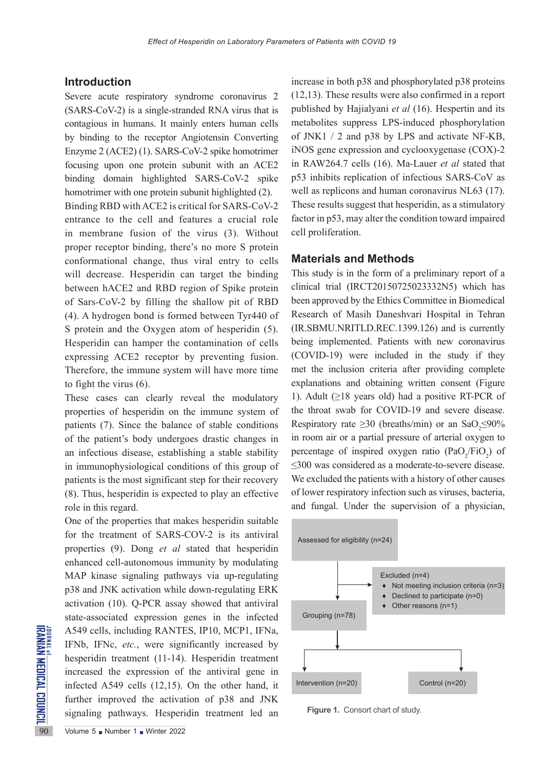## **Introduction**

Severe acute respiratory syndrome coronavirus 2 (SARS-CoV-2) is a single-stranded RNA virus that is contagious in humans. It mainly enters human cells by binding to the receptor Angiotensin Converting Enzyme 2 (ACE2) (1). SARS-CoV-2 spike homotrimer focusing upon one protein subunit with an ACE2 binding domain highlighted SARS-CoV-2 spike homotrimer with one protein subunit highlighted (2). Binding RBD with ACE2 is critical for SARS-CoV-2 entrance to the cell and features a crucial role in membrane fusion of the virus (3). Without proper receptor binding, there's no more S protein conformational change, thus viral entry to cells will decrease. Hesperidin can target the binding between hACE2 and RBD region of Spike protein of Sars-CoV-2 by filling the shallow pit of RBD (4). A hydrogen bond is formed between Tyr440 of S protein and the Oxygen atom of hesperidin (5). Hesperidin can hamper the contamination of cells expressing ACE2 receptor by preventing fusion. Therefore, the immune system will have more time to fight the virus (6).

These cases can clearly reveal the modulatory properties of hesperidin on the immune system of patients (7). Since the balance of stable conditions of the patient's body undergoes drastic changes in an infectious disease, establishing a stable stability in immunophysiological conditions of this group of patients is the most significant step for their recovery (8). Thus, hesperidin is expected to play an effective role in this regard.

A549 cells, including RANTH<br>
IFNb, IFNc, *etc.*, were sign<br>
hesperidin treatment (11-14).<br>
increased the expression of<br>
infected A549 cells (12,15).<br>
further improved the activat<br>
signaling pathways. Hesperi One of the properties that makes hesperidin suitable for the treatment of SARS-COV-2 is its antiviral properties (9). Dong *et al* stated that hesperidin enhanced cell-autonomous immunity by modulating MAP kinase signaling pathways via up-regulating p38 and JNK activation while down-regulating ERK activation (10). Q-PCR assay showed that antiviral state-associated expression genes in the infected A549 cells, including RANTES, IP10, MCP1, IFNa, IFNb, IFNc, *etc.*, were significantly increased by hesperidin treatment (11-14). Hesperidin treatment increased the expression of the antiviral gene in infected A549 cells (12,15). On the other hand, it further improved the activation of p38 and JNK signaling pathways. Hesperidin treatment led an

increase in both p38 and phosphorylated p38 proteins (12,13). These results were also confirmed in a report published by Hajialyani *et al* (16). Hespertin and its metabolites suppress LPS-induced phosphorylation of JNK1 / 2 and p38 by LPS and activate NF-KB, iNOS gene expression and cyclooxygenase (COX)-2 in RAW264.7 cells (16). Ma-Lauer *et al* stated that p53 inhibits replication of infectious SARS-CoV as well as replicons and human coronavirus NL63 (17). These results suggest that hesperidin, as a stimulatory factor in p53, may alter the condition toward impaired cell proliferation.

## **Materials and Methods**

This study is in the form of a preliminary report of a clinical trial (IRCT20150725023332N5) which has been approved by the Ethics Committee in Biomedical Research of Masih Daneshvari Hospital in Tehran (IR.SBMU.NRITLD.REC.1399.126) and is currently being implemented. Patients with new coronavirus (COVID-19) were included in the study if they met the inclusion criteria after providing complete explanations and obtaining written consent (Figure 1). Adult  $(≥18$  years old) had a positive RT-PCR of the throat swab for COVID-19 and severe disease. Respiratory rate  $\geq$ 30 (breaths/min) or an SaO<sub>2</sub> $\leq$ 90% in room air or a partial pressure of arterial oxygen to percentage of inspired oxygen ratio  $(PaO_2/FiO_2)$  of ≤300 was considered as a moderate-to-severe disease. We excluded the patients with a history of other causes of lower respiratory infection such as viruses, bacteria, and fungal. Under the supervision of a physician,



**Figure 1.** Consort chart of study.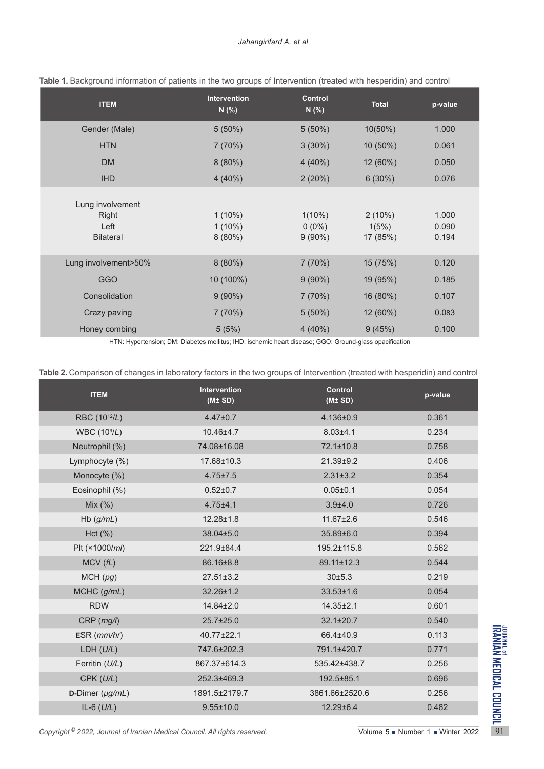| <b>ITEM</b>                                           | <b>Intervention</b><br>N(% )        | <b>Control</b><br>N(% )            | <b>Total</b>                   | p-value                 |
|-------------------------------------------------------|-------------------------------------|------------------------------------|--------------------------------|-------------------------|
| Gender (Male)                                         | $5(50\%)$                           | $5(50\%)$                          | 10(50%)                        | 1.000                   |
| <b>HTN</b>                                            | 7(70%)                              | $3(30\%)$                          | $10(50\%)$                     | 0.061                   |
| <b>DM</b>                                             | $8(80\%)$                           | $4(40\%)$                          | 12 (60%)                       | 0.050                   |
| <b>IHD</b>                                            | 4(40%)                              | 2(20%)                             | 6(30%)                         | 0.076                   |
| Lung involvement<br>Right<br>Left<br><b>Bilateral</b> | $1(10\%)$<br>$1(10\%)$<br>$8(80\%)$ | $1(10\%)$<br>$0(0\%)$<br>$9(90\%)$ | $2(10\%)$<br>1(5%)<br>17 (85%) | 1.000<br>0.090<br>0.194 |
| Lung involvement>50%                                  | $8(80\%)$                           | 7(70%)                             | 15 (75%)                       | 0.120                   |
| <b>GGO</b>                                            | 10 (100%)                           | $9(90\%)$                          | 19 (95%)                       | 0.185                   |
| Consolidation                                         | $9(90\%)$                           | 7(70%)                             | 16 (80%)                       | 0.107                   |
| Crazy paving                                          | 7(70%)                              | $5(50\%)$                          | 12 (60%)                       | 0.083                   |
| Honey combing                                         | 5(5%)                               | $4(40\%)$                          | 9(45%)                         | 0.100                   |

**Table 1.** Background information of patients in the two groups of Intervention (treated with hesperidin) and control

HTN: Hypertension; DM: Diabetes mellitus; IHD: ischemic heart disease; GGO: Ground-glass opacification

**Table 2.** Comparison of changes in laboratory factors in the two groups of Intervention (treated with hesperidin) and control

| <b>ITEM</b>               | <b>Intervention</b><br>(M± SD) | <b>Control</b><br>(M± SD) | p-value |
|---------------------------|--------------------------------|---------------------------|---------|
| RBC (10 <sup>12</sup> /L) | $4.47 \pm 0.7$                 | 4.136±0.9                 | 0.361   |
| WBC (10 <sup>9</sup> /L)  | 10.46±4.7                      | $8.03 + 4.1$              | 0.234   |
| Neutrophil (%)            | 74.08±16.08                    | 72.1±10.8                 | 0.758   |
| Lymphocyte (%)            | 17.68±10.3                     | 21.39±9.2                 | 0.406   |
| Monocyte (%)              | $4.75 \pm 7.5$                 | $2.31 \pm 3.2$            | 0.354   |
| Eosinophil (%)            | $0.52 \pm 0.7$                 | $0.05 + 0.1$              | 0.054   |
| Mix $(%)$                 | $4.75 \pm 4.1$                 | $3.9 + 4.0$               | 0.726   |
| $Hb$ (g/mL)               | 12.28±1.8                      | 11.67±2.6                 | 0.546   |
| Hct(%)                    | 38.04±5.0                      | 35.89±6.0                 | 0.394   |
| Plt (×1000/ml)            | 221.9±84.4                     | 195.2±115.8               | 0.562   |
| MCV(fL)                   | 86.16±8.8                      | 89.11±12.3                | 0.544   |
| MCH(pg)                   | $27.51 \pm 3.2$                | 30±5.3                    | 0.219   |
| MCHC (g/mL)               | 32.26±1.2                      | $33.53 \pm 1.6$           | 0.054   |
| <b>RDW</b>                | 14.84±2.0                      | 14.35±2.1                 | 0.601   |
| $CRP$ ( $mg/l$ )          | 25.7±25.0                      | $32.1 \pm 20.7$           | 0.540   |
| $ESR$ ( $mm/hr$ )         | 40.77±22.1                     | 66.4±40.9                 | 0.113   |
| LDH (U/L)                 | 747.6±202.3                    | 791.1±420.7               | 0.771   |
| Ferritin (U/L)            | 867.37±614.3                   | 535.42±438.7              | 0.256   |
| CPK (U/L)                 | 252.3±469.3                    | 192.5±85.1                | 0.696   |
| D-Dimer $(\mu g/mL)$      | 1891.5±2179.7                  | 3861.66±2520.6            | 0.256   |
| IL-6 $(U/L)$              | $9.55 \pm 10.0$                | 12.29±6.4                 | 0.482   |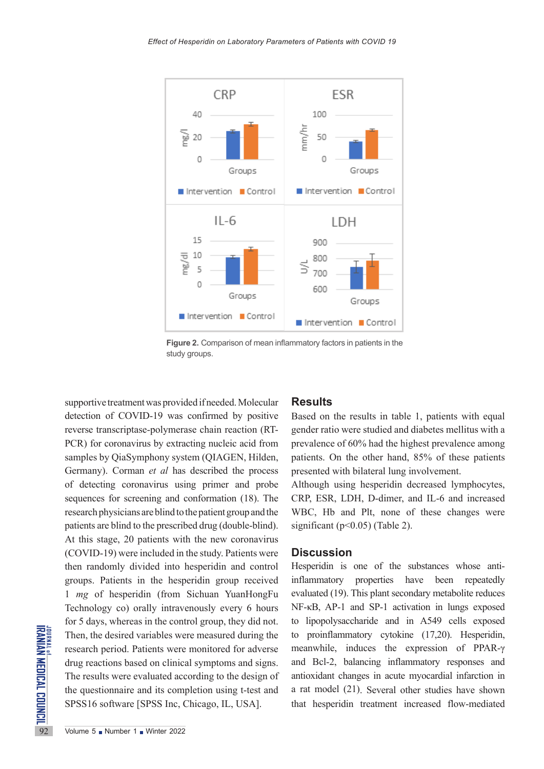

**Figure 2.** Comparison of mean inflammatory factors in patients in the study groups.

Then, the desired variables we<br>research period. Patients were<br>drug reactions based on clinic:<br>The results were evaluated acc<br>the questionnaire and its com<br>SPSS16 software [SPSS Inc, 0<br><br>Volume 5 Number 1 Nunter 2022 supportive treatment was provided if needed. Molecular detection of COVID-19 was confirmed by positive reverse transcriptase-polymerase chain reaction (RT-PCR) for coronavirus by extracting nucleic acid from samples by QiaSymphony system (QIAGEN, Hilden, Germany). Corman *et al* has described the process of detecting coronavirus using primer and probe sequences for screening and conformation (18). The research physicians are blind to the patient group and the patients are blind to the prescribed drug (double-blind). At this stage, 20 patients with the new coronavirus (COVID-19) were included in the study. Patients were then randomly divided into hesperidin and control groups. Patients in the hesperidin group received 1 *mg* of hesperidin (from Sichuan YuanHongFu Technology co) orally intravenously every 6 hours for 5 days, whereas in the control group, they did not. Then, the desired variables were measured during the research period. Patients were monitored for adverse drug reactions based on clinical symptoms and signs. The results were evaluated according to the design of the questionnaire and its completion using t-test and SPSS16 software [SPSS Inc, Chicago, IL, USA].

### **Results**

Based on the results in table 1, patients with equal gender ratio were studied and diabetes mellitus with a prevalence of 60% had the highest prevalence among patients. On the other hand, 85% of these patients presented with bilateral lung involvement.

Although using hesperidin decreased lymphocytes, CRP, ESR, LDH, D-dimer, and IL-6 and increased WBC, Hb and Plt, none of these changes were significant ( $p<0.05$ ) (Table 2).

### **Discussion**

Hesperidin is one of the substances whose antiinflammatory properties have been repeatedly evaluated (19). This plant secondary metabolite reduces NF-κB, AP-1 and SP-1 activation in lungs exposed to lipopolysaccharide and in A549 cells exposed to proinflammatory cytokine (17,20). Hesperidin, meanwhile, induces the expression of PPAR-γ and Bcl-2, balancing inflammatory responses and antioxidant changes in acute myocardial infarction in a rat model (21). Several other studies have shown that hesperidin treatment increased flow-mediated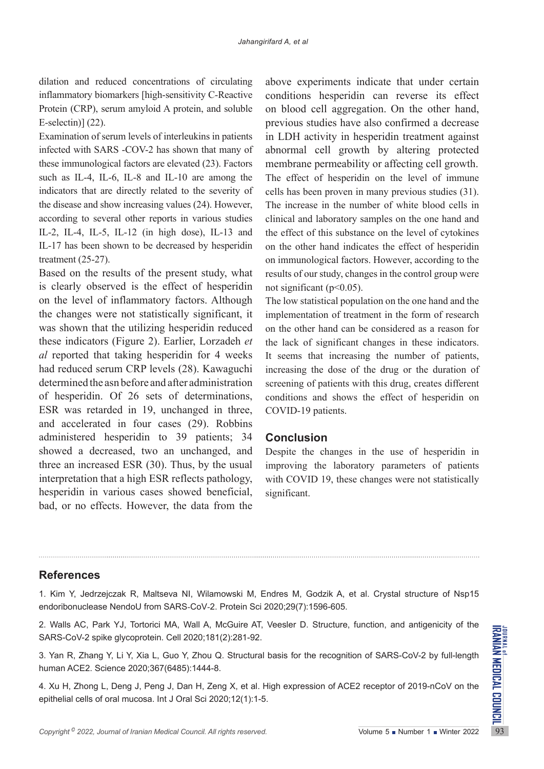dilation and reduced concentrations of circulating inflammatory biomarkers [high-sensitivity C-Reactive Protein (CRP), serum amyloid A protein, and soluble E-selectin)] (22).

Examination of serum levels of interleukins in patients infected with SARS -COV-2 has shown that many of these immunological factors are elevated (23). Factors such as IL-4, IL-6, IL-8 and IL-10 are among the indicators that are directly related to the severity of the disease and show increasing values (24). However, according to several other reports in various studies IL-2, IL-4, IL-5, IL-12 (in high dose), IL-13 and IL-17 has been shown to be decreased by hesperidin treatment (25-27).

Based on the results of the present study, what is clearly observed is the effect of hesperidin on the level of inflammatory factors. Although the changes were not statistically significant, it was shown that the utilizing hesperidin reduced these indicators (Figure 2). Earlier, Lorzadeh *et al* reported that taking hesperidin for 4 weeks had reduced serum CRP levels (28). Kawaguchi determined the asn before and after administration of hesperidin. Of 26 sets of determinations, ESR was retarded in 19, unchanged in three, and accelerated in four cases (29). Robbins administered hesperidin to 39 patients; 34 showed a decreased, two an unchanged, and three an increased ESR (30). Thus, by the usual interpretation that a high ESR reflects pathology, hesperidin in various cases showed beneficial, bad, or no effects. However, the data from the above experiments indicate that under certain conditions hesperidin can reverse its effect on blood cell aggregation. On the other hand, previous studies have also confirmed a decrease in LDH activity in hesperidin treatment against abnormal cell growth by altering protected membrane permeability or affecting cell growth. The effect of hesperidin on the level of immune cells has been proven in many previous studies (31). The increase in the number of white blood cells in clinical and laboratory samples on the one hand and the effect of this substance on the level of cytokines on the other hand indicates the effect of hesperidin on immunological factors. However, according to the results of our study, changes in the control group were not significant ( $p<0.05$ ).

The low statistical population on the one hand and the implementation of treatment in the form of research on the other hand can be considered as a reason for the lack of significant changes in these indicators. It seems that increasing the number of patients, increasing the dose of the drug or the duration of screening of patients with this drug, creates different conditions and shows the effect of hesperidin on COVID-19 patients.

# **Conclusion**

Despite the changes in the use of hesperidin in improving the laboratory parameters of patients with COVID 19, these changes were not statistically significant.

## **References**

1. Kim Y, Jedrzejczak R, Maltseva NI, Wilamowski M, Endres M, Godzik A, et al. Crystal structure of Nsp15 endoribonuclease NendoU from SARS‐CoV‐2. Protein Sci 2020;29(7):1596-605.

2. Walls AC, Park YJ, Tortorici MA, Wall A, McGuire AT, Veesler D. Structure, function, and antigenicity of the SARS-CoV-2 spike glycoprotein. Cell 2020;181(2):281-92.

3. Yan R, Zhang Y, Li Y, Xia L, Guo Y, Zhou Q. Structural basis for the recognition of SARS-CoV-2 by full-length human ACE2. Science 2020;367(6485):1444-8.

2. Walls AC, Fark 13, Ionolds MA, Wall A, McGulle AT, Vesser D. Structure, Idituder, and antigentary of the SARS-CoV-2 spike glycoprotein. Cell 2020;181(2):281-92.<br>3. Yan R, Zhang Y, Li Y, Xia L, Guo Y, Zhou Q. Structural 4. Xu H, Zhong L, Deng J, Peng J, Dan H, Zeng X, et al. High expression of ACE2 receptor of 2019-nCoV on the epithelial cells of oral mucosa. Int J Oral Sci 2020;12(1):1-5.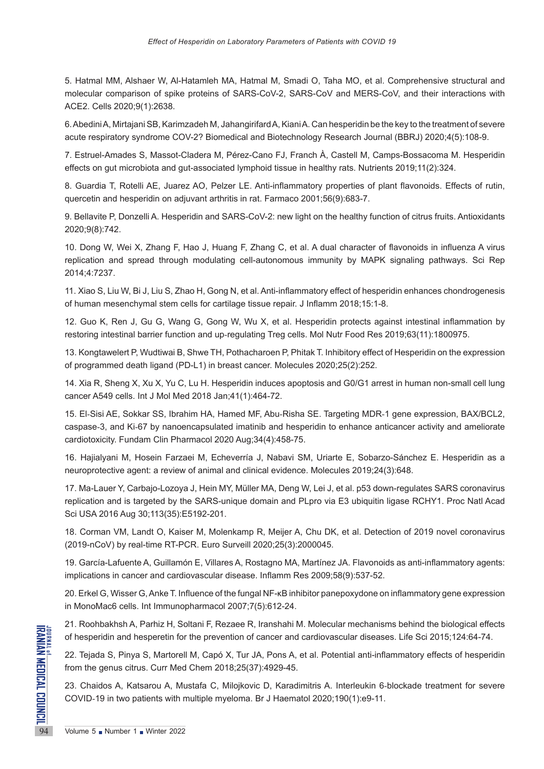5. Hatmal MM, Alshaer W, Al-Hatamleh MA, Hatmal M, Smadi O, Taha MO, et al. Comprehensive structural and molecular comparison of spike proteins of SARS-CoV-2, SARS-CoV and MERS-CoV, and their interactions with ACE2. Cells 2020;9(1):2638.

6. Abedini A, Mirtajani SB, Karimzadeh M, Jahangirifard A, Kiani A. Can hesperidin be the key to the treatment of severe acute respiratory syndrome COV-2? Biomedical and Biotechnology Research Journal (BBRJ) 2020;4(5):108-9.

7. Estruel-Amades S, Massot-Cladera M, Pérez-Cano FJ, Franch À, Castell M, Camps-Bossacoma M. Hesperidin effects on gut microbiota and gut-associated lymphoid tissue in healthy rats. Nutrients 2019;11(2):324.

8. Guardia T, Rotelli AE, Juarez AO, Pelzer LE. Anti-inflammatory properties of plant flavonoids. Effects of rutin, quercetin and hesperidin on adjuvant arthritis in rat. Farmaco 2001;56(9):683-7.

9. Bellavite P, Donzelli A. Hesperidin and SARS-CoV-2: new light on the healthy function of citrus fruits. Antioxidants 2020;9(8):742.

10. Dong W, Wei X, Zhang F, Hao J, Huang F, Zhang C, et al. A dual character of flavonoids in influenza A virus replication and spread through modulating cell-autonomous immunity by MAPK signaling pathways. Sci Rep 2014;4:7237.

11. Xiao S, Liu W, Bi J, Liu S, Zhao H, Gong N, et al. Anti-inflammatory effect of hesperidin enhances chondrogenesis of human mesenchymal stem cells for cartilage tissue repair. J Inflamm 2018;15:1-8.

12. Guo K, Ren J, Gu G, Wang G, Gong W, Wu X, et al. Hesperidin protects against intestinal inflammation by restoring intestinal barrier function and up-regulating Treg cells. Mol Nutr Food Res 2019;63(11):1800975.

13. Kongtawelert P, Wudtiwai B, Shwe TH, Pothacharoen P, Phitak T. Inhibitory effect of Hesperidin on the expression of programmed death ligand (PD-L1) in breast cancer. Molecules 2020;25(2):252.

14. Xia R, Sheng X, Xu X, Yu C, Lu H. Hesperidin induces apoptosis and G0/G1 arrest in human non-small cell lung cancer A549 cells. Int J Mol Med 2018 Jan;41(1):464-72.

15. El‐Sisi AE, Sokkar SS, Ibrahim HA, Hamed MF, Abu‐Risha SE. Targeting MDR‐1 gene expression, BAX/BCL2, caspase‐3, and Ki‐67 by nanoencapsulated imatinib and hesperidin to enhance anticancer activity and ameliorate cardiotoxicity. Fundam Clin Pharmacol 2020 Aug;34(4):458-75.

16. Hajialyani M, Hosein Farzaei M, Echeverría J, Nabavi SM, Uriarte E, Sobarzo-Sánchez E. Hesperidin as a neuroprotective agent: a review of animal and clinical evidence. Molecules 2019;24(3):648.

17. Ma-Lauer Y, Carbajo-Lozoya J, Hein MY, Müller MA, Deng W, Lei J, et al. p53 down-regulates SARS coronavirus replication and is targeted by the SARS-unique domain and PLpro via E3 ubiquitin ligase RCHY1. Proc Natl Acad Sci USA 2016 Aug 30;113(35):E5192-201.

18. Corman VM, Landt O, Kaiser M, Molenkamp R, Meijer A, Chu DK, et al. Detection of 2019 novel coronavirus (2019-nCoV) by real-time RT-PCR. Euro Surveill 2020;25(3):2000045.

19. García-Lafuente A, Guillamón E, Villares A, Rostagno MA, Martínez JA. Flavonoids as anti-inflammatory agents: implications in cancer and cardiovascular disease. Inflamm Res 2009;58(9):537-52.

20. Erkel G, Wisser G, Anke T. Influence of the fungal NF-κB inhibitor panepoxydone on inflammatory gene expression in MonoMac6 cells. Int Immunopharmacol 2007;7(5):612-24.

21. Roohbakhsh A, Parhiz H, Soltani F, Rezaee R, Iranshahi M. Molecular mechanisms behind the biological effects of hesperidin and hesperetin for the prevention of cancer and cardiovascular diseases. Life Sci 2015;124:64-74.

94 Volume 5 Number 1 Winter 2022 22. Tejada S, Pinya S, Martorell M, Capó X, Tur JA, Pons A, et al. Potential anti-inflammatory effects of hesperidin from the genus citrus. Curr Med Chem 2018;25(37):4929-45.

23. Chaidos A, Katsarou A, Mustafa C, Milojkovic D, Karadimitris A. Interleukin 6‐blockade treatment for severe COVID‐19 in two patients with multiple myeloma. Br J Haematol 2020;190(1):e9-11.